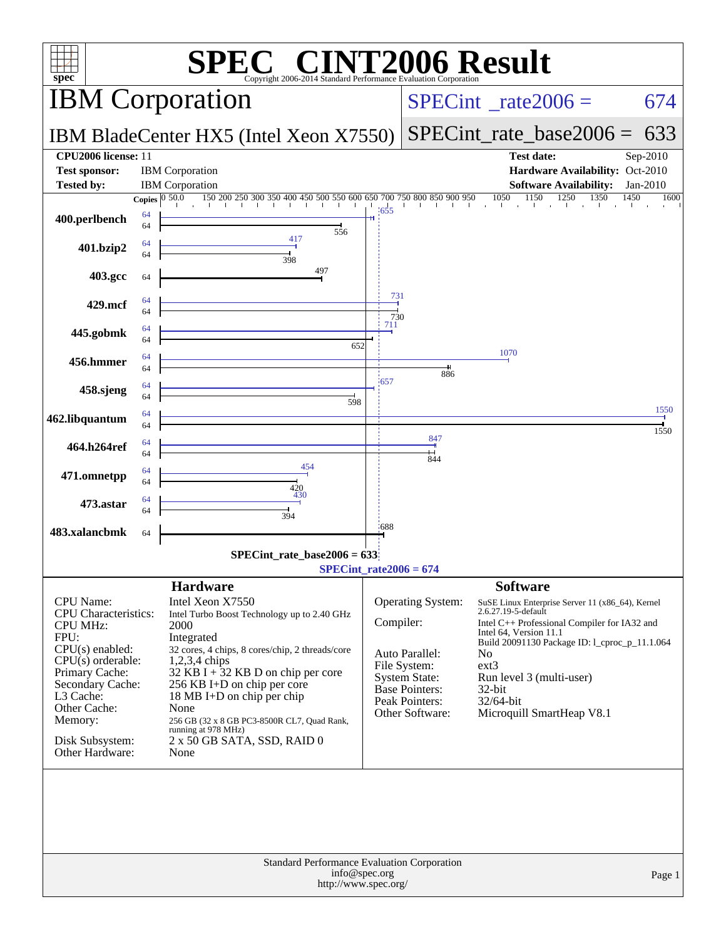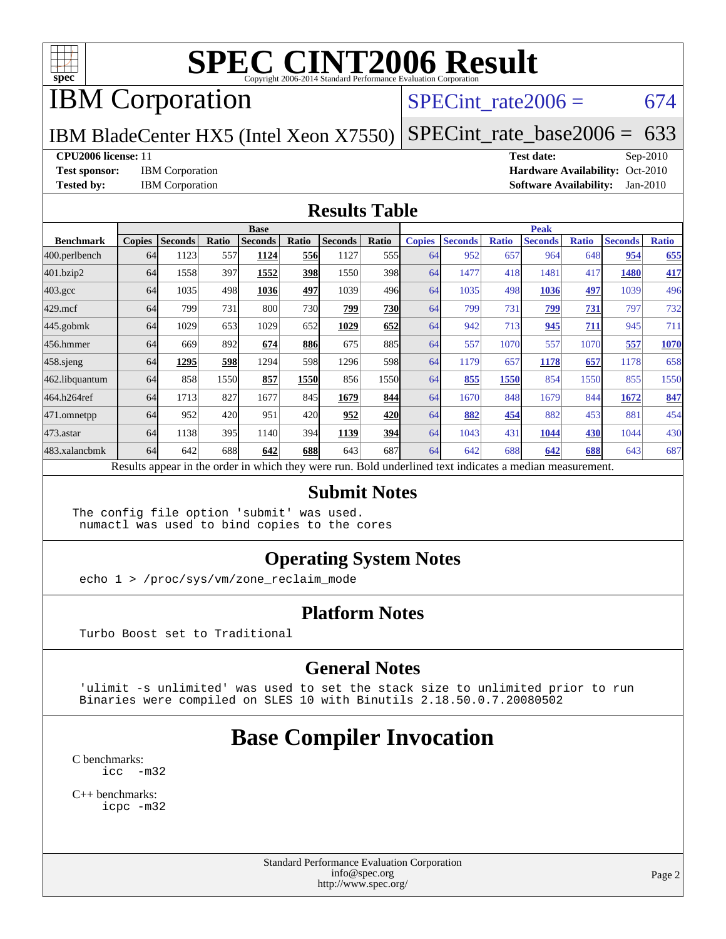

## IBM Corporation

### SPECint rate $2006 = 674$

IBM BladeCenter HX5 (Intel Xeon X7550)

[SPECint\\_rate\\_base2006 =](http://www.spec.org/auto/cpu2006/Docs/result-fields.html#SPECintratebase2006) 633

#### **[CPU2006 license:](http://www.spec.org/auto/cpu2006/Docs/result-fields.html#CPU2006license)** 11 **[Test date:](http://www.spec.org/auto/cpu2006/Docs/result-fields.html#Testdate)** Sep-2010

**[Test sponsor:](http://www.spec.org/auto/cpu2006/Docs/result-fields.html#Testsponsor)** IBM Corporation **[Hardware Availability:](http://www.spec.org/auto/cpu2006/Docs/result-fields.html#HardwareAvailability)** Oct-2010 **[Tested by:](http://www.spec.org/auto/cpu2006/Docs/result-fields.html#Testedby)** IBM Corporation **[Software Availability:](http://www.spec.org/auto/cpu2006/Docs/result-fields.html#SoftwareAvailability)** Jan-2010

#### **[Results Table](http://www.spec.org/auto/cpu2006/Docs/result-fields.html#ResultsTable)**

|                  | <b>Base</b>   |                |       |                                                                                                          |       |                |                  | <b>Peak</b>   |                |              |                |              |                |              |
|------------------|---------------|----------------|-------|----------------------------------------------------------------------------------------------------------|-------|----------------|------------------|---------------|----------------|--------------|----------------|--------------|----------------|--------------|
| <b>Benchmark</b> | <b>Copies</b> | <b>Seconds</b> | Ratio | <b>Seconds</b>                                                                                           | Ratio | <b>Seconds</b> | Ratio            | <b>Copies</b> | <b>Seconds</b> | <b>Ratio</b> | <b>Seconds</b> | <b>Ratio</b> | <b>Seconds</b> | <b>Ratio</b> |
| 400.perlbench    | 64            | 1123           | 557   | 1124                                                                                                     | 556   | 1127           | 555 <sub>I</sub> | 64            | 952            | 657          | 964            | 648          | 954            | 655          |
| 401.bzip2        | 64            | 1558           | 397   | 1552                                                                                                     | 398   | 1550           | 398              | 64            | 1477           | 418          | 1481           | 417          | 1480           | 417          |
| $403.\text{gcc}$ | 64            | 1035           | 498   | 1036                                                                                                     | 497   | 1039           | 496              | 64            | 1035           | 498          | 1036           | 497          | 1039           | 496          |
| $429$ .mcf       | 64            | 799            | 731   | 800                                                                                                      | 730   | 799            | 730              | 64            | 799            | 731          | 799            | 731          | 797            | 732          |
| $445$ .gobm $k$  | 64            | 1029           | 653   | 1029                                                                                                     | 652   | 1029           | 652              | 64            | 942            | 713          | 945            | 711          | 945            | 711          |
| 456.hmmer        | 64            | 669            | 892   | 674                                                                                                      | 886   | 675            | 885              | 64            | 557            | 1070         | 557            | 1070         | 557            | 1070         |
| $458$ .sjeng     | 64            | 1295           | 598   | 1294                                                                                                     | 598   | 1296           | 598              | 64            | 1179           | 657          | 1178           | 657          | 1178           | 658          |
| 462.libquantum   | 64            | 858            | 1550  | 857                                                                                                      | 1550  | 856            | 1550             | 64            | 855            | 1550         | 854            | 1550         | 855            | 1550         |
| 464.h264ref      | 64            | 1713           | 827   | 1677                                                                                                     | 845   | 1679           | 844              | 64            | 1670           | 848          | 1679           | 844          | 1672           | 847          |
| 471.omnetpp      | 64            | 952            | 420   | 951                                                                                                      | 420   | 952            | 420              | 64            | 882            | 454          | 882            | 453          | 881            | 454          |
| 473.astar        | 64            | 1138           | 395   | 1140                                                                                                     | 394   | 1139           | 394              | 64            | 1043           | 431          | 1044           | 430          | 1044           | 430          |
| 483.xalancbmk    | 64            | 642            | 688   | 642                                                                                                      | 688   | 643            | 687              | 64            | 642            | 688          | 642            | 688          | 643            | 687          |
|                  |               |                |       | Results appear in the order in which they were run. Bold underlined text indicates a median measurement. |       |                |                  |               |                |              |                |              |                |              |

#### **[Submit Notes](http://www.spec.org/auto/cpu2006/Docs/result-fields.html#SubmitNotes)**

The config file option 'submit' was used. numactl was used to bind copies to the cores

### **[Operating System Notes](http://www.spec.org/auto/cpu2006/Docs/result-fields.html#OperatingSystemNotes)**

echo 1 > /proc/sys/vm/zone\_reclaim\_mode

### **[Platform Notes](http://www.spec.org/auto/cpu2006/Docs/result-fields.html#PlatformNotes)**

Turbo Boost set to Traditional

### **[General Notes](http://www.spec.org/auto/cpu2006/Docs/result-fields.html#GeneralNotes)**

 'ulimit -s unlimited' was used to set the stack size to unlimited prior to run Binaries were compiled on SLES 10 with Binutils 2.18.50.0.7.20080502

## **[Base Compiler Invocation](http://www.spec.org/auto/cpu2006/Docs/result-fields.html#BaseCompilerInvocation)**

[C benchmarks](http://www.spec.org/auto/cpu2006/Docs/result-fields.html#Cbenchmarks): [icc -m32](http://www.spec.org/cpu2006/results/res2010q3/cpu2006-20100914-13286.flags.html#user_CCbase_intel_icc_32bit_5ff4a39e364c98233615fdd38438c6f2)

[C++ benchmarks:](http://www.spec.org/auto/cpu2006/Docs/result-fields.html#CXXbenchmarks) [icpc -m32](http://www.spec.org/cpu2006/results/res2010q3/cpu2006-20100914-13286.flags.html#user_CXXbase_intel_icpc_32bit_4e5a5ef1a53fd332b3c49e69c3330699)

> Standard Performance Evaluation Corporation [info@spec.org](mailto:info@spec.org) <http://www.spec.org/>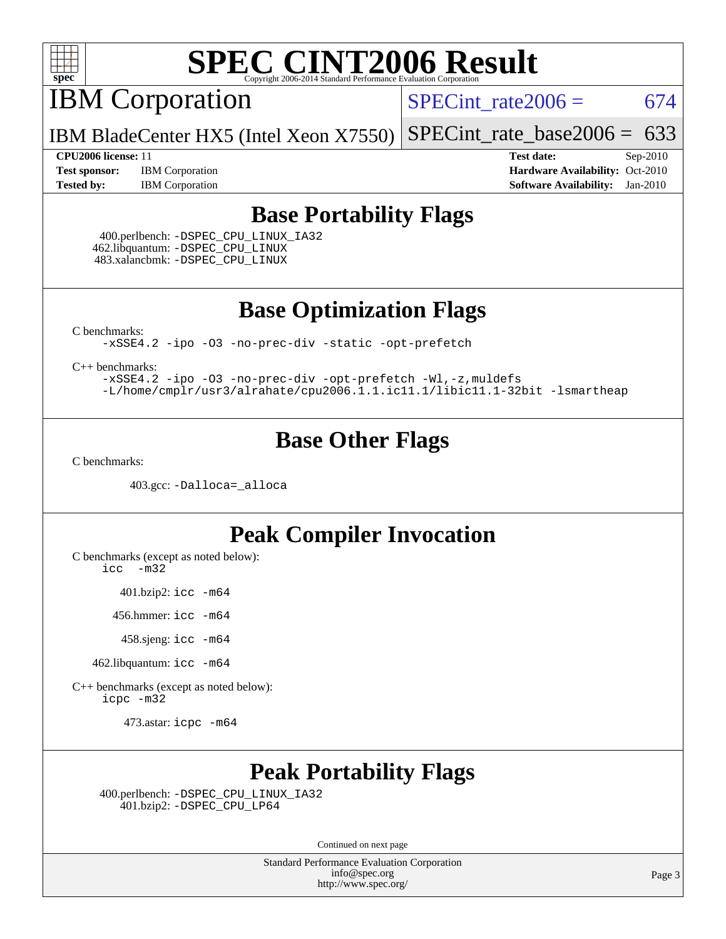

IBM Corporation

SPECint rate $2006 = 674$ 

IBM BladeCenter HX5 (Intel Xeon X7550) [SPECint\\_rate\\_base2006 =](http://www.spec.org/auto/cpu2006/Docs/result-fields.html#SPECintratebase2006)  $633$ 

**[Test sponsor:](http://www.spec.org/auto/cpu2006/Docs/result-fields.html#Testsponsor)** IBM Corporation **[Hardware Availability:](http://www.spec.org/auto/cpu2006/Docs/result-fields.html#HardwareAvailability)** Oct-2010 **[Tested by:](http://www.spec.org/auto/cpu2006/Docs/result-fields.html#Testedby)** IBM Corporation **[Software Availability:](http://www.spec.org/auto/cpu2006/Docs/result-fields.html#SoftwareAvailability)** Jan-2010

**[CPU2006 license:](http://www.spec.org/auto/cpu2006/Docs/result-fields.html#CPU2006license)** 11 **[Test date:](http://www.spec.org/auto/cpu2006/Docs/result-fields.html#Testdate)** Sep-2010

### **[Base Portability Flags](http://www.spec.org/auto/cpu2006/Docs/result-fields.html#BasePortabilityFlags)**

 400.perlbench: [-DSPEC\\_CPU\\_LINUX\\_IA32](http://www.spec.org/cpu2006/results/res2010q3/cpu2006-20100914-13286.flags.html#b400.perlbench_baseCPORTABILITY_DSPEC_CPU_LINUX_IA32) 462.libquantum: [-DSPEC\\_CPU\\_LINUX](http://www.spec.org/cpu2006/results/res2010q3/cpu2006-20100914-13286.flags.html#b462.libquantum_baseCPORTABILITY_DSPEC_CPU_LINUX) 483.xalancbmk: [-DSPEC\\_CPU\\_LINUX](http://www.spec.org/cpu2006/results/res2010q3/cpu2006-20100914-13286.flags.html#b483.xalancbmk_baseCXXPORTABILITY_DSPEC_CPU_LINUX)

**[Base Optimization Flags](http://www.spec.org/auto/cpu2006/Docs/result-fields.html#BaseOptimizationFlags)**

[C benchmarks](http://www.spec.org/auto/cpu2006/Docs/result-fields.html#Cbenchmarks):

[-xSSE4.2](http://www.spec.org/cpu2006/results/res2010q3/cpu2006-20100914-13286.flags.html#user_CCbase_f-xSSE42_f91528193cf0b216347adb8b939d4107) [-ipo](http://www.spec.org/cpu2006/results/res2010q3/cpu2006-20100914-13286.flags.html#user_CCbase_f-ipo) [-O3](http://www.spec.org/cpu2006/results/res2010q3/cpu2006-20100914-13286.flags.html#user_CCbase_f-O3) [-no-prec-div](http://www.spec.org/cpu2006/results/res2010q3/cpu2006-20100914-13286.flags.html#user_CCbase_f-no-prec-div) [-static](http://www.spec.org/cpu2006/results/res2010q3/cpu2006-20100914-13286.flags.html#user_CCbase_f-static) [-opt-prefetch](http://www.spec.org/cpu2006/results/res2010q3/cpu2006-20100914-13286.flags.html#user_CCbase_f-opt-prefetch)

[C++ benchmarks:](http://www.spec.org/auto/cpu2006/Docs/result-fields.html#CXXbenchmarks)

[-xSSE4.2](http://www.spec.org/cpu2006/results/res2010q3/cpu2006-20100914-13286.flags.html#user_CXXbase_f-xSSE42_f91528193cf0b216347adb8b939d4107) [-ipo](http://www.spec.org/cpu2006/results/res2010q3/cpu2006-20100914-13286.flags.html#user_CXXbase_f-ipo) [-O3](http://www.spec.org/cpu2006/results/res2010q3/cpu2006-20100914-13286.flags.html#user_CXXbase_f-O3) [-no-prec-div](http://www.spec.org/cpu2006/results/res2010q3/cpu2006-20100914-13286.flags.html#user_CXXbase_f-no-prec-div) [-opt-prefetch](http://www.spec.org/cpu2006/results/res2010q3/cpu2006-20100914-13286.flags.html#user_CXXbase_f-opt-prefetch) [-Wl,-z,muldefs](http://www.spec.org/cpu2006/results/res2010q3/cpu2006-20100914-13286.flags.html#user_CXXbase_link_force_multiple1_74079c344b956b9658436fd1b6dd3a8a) [-L/home/cmplr/usr3/alrahate/cpu2006.1.1.ic11.1/libic11.1-32bit -lsmartheap](http://www.spec.org/cpu2006/results/res2010q3/cpu2006-20100914-13286.flags.html#user_CXXbase_SmartHeap_d86dffe4a79b79ef8890d5cce17030c3)

### **[Base Other Flags](http://www.spec.org/auto/cpu2006/Docs/result-fields.html#BaseOtherFlags)**

[C benchmarks](http://www.spec.org/auto/cpu2006/Docs/result-fields.html#Cbenchmarks):

403.gcc: [-Dalloca=\\_alloca](http://www.spec.org/cpu2006/results/res2010q3/cpu2006-20100914-13286.flags.html#b403.gcc_baseEXTRA_CFLAGS_Dalloca_be3056838c12de2578596ca5467af7f3)

### **[Peak Compiler Invocation](http://www.spec.org/auto/cpu2006/Docs/result-fields.html#PeakCompilerInvocation)**

[C benchmarks \(except as noted below\)](http://www.spec.org/auto/cpu2006/Docs/result-fields.html#Cbenchmarksexceptasnotedbelow):

[icc -m32](http://www.spec.org/cpu2006/results/res2010q3/cpu2006-20100914-13286.flags.html#user_CCpeak_intel_icc_32bit_5ff4a39e364c98233615fdd38438c6f2)

401.bzip2: [icc -m64](http://www.spec.org/cpu2006/results/res2010q3/cpu2006-20100914-13286.flags.html#user_peakCCLD401_bzip2_intel_icc_64bit_bda6cc9af1fdbb0edc3795bac97ada53)

456.hmmer: [icc -m64](http://www.spec.org/cpu2006/results/res2010q3/cpu2006-20100914-13286.flags.html#user_peakCCLD456_hmmer_intel_icc_64bit_bda6cc9af1fdbb0edc3795bac97ada53)

458.sjeng: [icc -m64](http://www.spec.org/cpu2006/results/res2010q3/cpu2006-20100914-13286.flags.html#user_peakCCLD458_sjeng_intel_icc_64bit_bda6cc9af1fdbb0edc3795bac97ada53)

462.libquantum: [icc -m64](http://www.spec.org/cpu2006/results/res2010q3/cpu2006-20100914-13286.flags.html#user_peakCCLD462_libquantum_intel_icc_64bit_bda6cc9af1fdbb0edc3795bac97ada53)

[C++ benchmarks \(except as noted below\):](http://www.spec.org/auto/cpu2006/Docs/result-fields.html#CXXbenchmarksexceptasnotedbelow) [icpc -m32](http://www.spec.org/cpu2006/results/res2010q3/cpu2006-20100914-13286.flags.html#user_CXXpeak_intel_icpc_32bit_4e5a5ef1a53fd332b3c49e69c3330699)

473.astar: [icpc -m64](http://www.spec.org/cpu2006/results/res2010q3/cpu2006-20100914-13286.flags.html#user_peakCXXLD473_astar_intel_icpc_64bit_fc66a5337ce925472a5c54ad6a0de310)

## **[Peak Portability Flags](http://www.spec.org/auto/cpu2006/Docs/result-fields.html#PeakPortabilityFlags)**

 400.perlbench: [-DSPEC\\_CPU\\_LINUX\\_IA32](http://www.spec.org/cpu2006/results/res2010q3/cpu2006-20100914-13286.flags.html#b400.perlbench_peakCPORTABILITY_DSPEC_CPU_LINUX_IA32) 401.bzip2: [-DSPEC\\_CPU\\_LP64](http://www.spec.org/cpu2006/results/res2010q3/cpu2006-20100914-13286.flags.html#suite_peakCPORTABILITY401_bzip2_DSPEC_CPU_LP64)

Continued on next page

Standard Performance Evaluation Corporation [info@spec.org](mailto:info@spec.org) <http://www.spec.org/>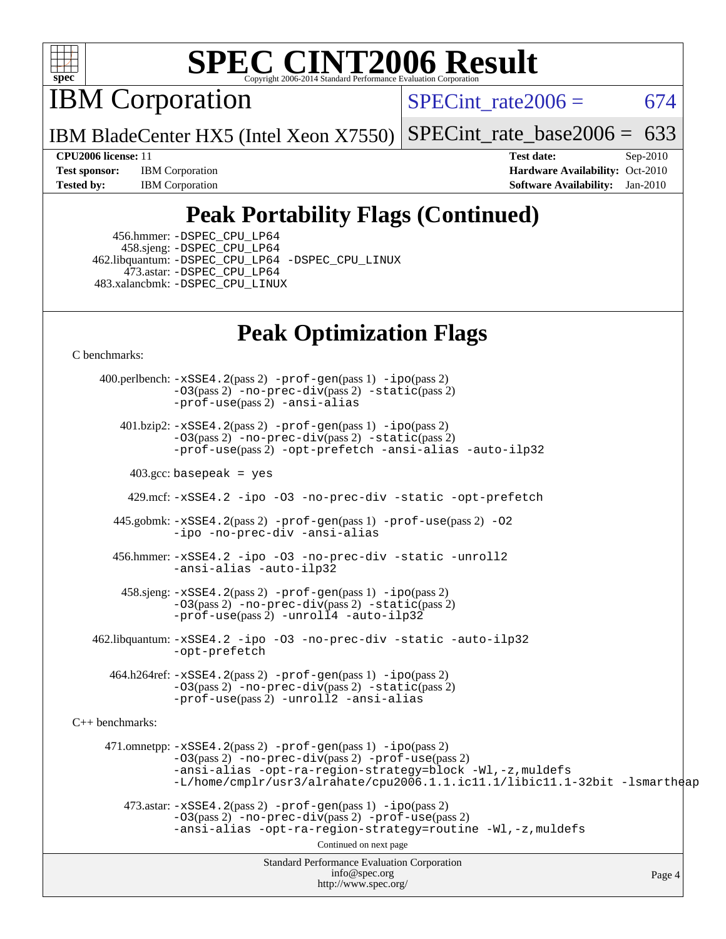

IBM Corporation

SPECint rate $2006 = 674$ 

IBM BladeCenter HX5 (Intel Xeon X7550) [SPECint\\_rate\\_base2006 =](http://www.spec.org/auto/cpu2006/Docs/result-fields.html#SPECintratebase2006)  $633$ 

**[Test sponsor:](http://www.spec.org/auto/cpu2006/Docs/result-fields.html#Testsponsor)** IBM Corporation **[Hardware Availability:](http://www.spec.org/auto/cpu2006/Docs/result-fields.html#HardwareAvailability)** Oct-2010 **[Tested by:](http://www.spec.org/auto/cpu2006/Docs/result-fields.html#Testedby)** IBM Corporation **[Software Availability:](http://www.spec.org/auto/cpu2006/Docs/result-fields.html#SoftwareAvailability)** Jan-2010

**[CPU2006 license:](http://www.spec.org/auto/cpu2006/Docs/result-fields.html#CPU2006license)** 11 **[Test date:](http://www.spec.org/auto/cpu2006/Docs/result-fields.html#Testdate)** Sep-2010

## **[Peak Portability Flags \(Continued\)](http://www.spec.org/auto/cpu2006/Docs/result-fields.html#PeakPortabilityFlags)**

 456.hmmer: [-DSPEC\\_CPU\\_LP64](http://www.spec.org/cpu2006/results/res2010q3/cpu2006-20100914-13286.flags.html#suite_peakCPORTABILITY456_hmmer_DSPEC_CPU_LP64) 458.sjeng: [-DSPEC\\_CPU\\_LP64](http://www.spec.org/cpu2006/results/res2010q3/cpu2006-20100914-13286.flags.html#suite_peakCPORTABILITY458_sjeng_DSPEC_CPU_LP64) 462.libquantum: [-DSPEC\\_CPU\\_LP64](http://www.spec.org/cpu2006/results/res2010q3/cpu2006-20100914-13286.flags.html#suite_peakCPORTABILITY462_libquantum_DSPEC_CPU_LP64) [-DSPEC\\_CPU\\_LINUX](http://www.spec.org/cpu2006/results/res2010q3/cpu2006-20100914-13286.flags.html#b462.libquantum_peakCPORTABILITY_DSPEC_CPU_LINUX) 473.astar: [-DSPEC\\_CPU\\_LP64](http://www.spec.org/cpu2006/results/res2010q3/cpu2006-20100914-13286.flags.html#suite_peakCXXPORTABILITY473_astar_DSPEC_CPU_LP64) 483.xalancbmk: [-DSPEC\\_CPU\\_LINUX](http://www.spec.org/cpu2006/results/res2010q3/cpu2006-20100914-13286.flags.html#b483.xalancbmk_peakCXXPORTABILITY_DSPEC_CPU_LINUX)

## **[Peak Optimization Flags](http://www.spec.org/auto/cpu2006/Docs/result-fields.html#PeakOptimizationFlags)**

[C benchmarks](http://www.spec.org/auto/cpu2006/Docs/result-fields.html#Cbenchmarks):

Standard Performance Evaluation Corporation [info@spec.org](mailto:info@spec.org) <http://www.spec.org/> Page 4 400.perlbench: [-xSSE4.2](http://www.spec.org/cpu2006/results/res2010q3/cpu2006-20100914-13286.flags.html#user_peakPASS2_CFLAGSPASS2_LDCFLAGS400_perlbench_f-xSSE42_f91528193cf0b216347adb8b939d4107)(pass 2) [-prof-gen](http://www.spec.org/cpu2006/results/res2010q3/cpu2006-20100914-13286.flags.html#user_peakPASS1_CFLAGSPASS1_LDCFLAGS400_perlbench_prof_gen_e43856698f6ca7b7e442dfd80e94a8fc)(pass 1) [-ipo](http://www.spec.org/cpu2006/results/res2010q3/cpu2006-20100914-13286.flags.html#user_peakPASS2_CFLAGSPASS2_LDCFLAGS400_perlbench_f-ipo)(pass 2) [-O3](http://www.spec.org/cpu2006/results/res2010q3/cpu2006-20100914-13286.flags.html#user_peakPASS2_CFLAGSPASS2_LDCFLAGS400_perlbench_f-O3)(pass 2) [-no-prec-div](http://www.spec.org/cpu2006/results/res2010q3/cpu2006-20100914-13286.flags.html#user_peakPASS2_CFLAGSPASS2_LDCFLAGS400_perlbench_f-no-prec-div)(pass 2) [-static](http://www.spec.org/cpu2006/results/res2010q3/cpu2006-20100914-13286.flags.html#user_peakPASS2_CFLAGSPASS2_LDCFLAGS400_perlbench_f-static)(pass 2) [-prof-use](http://www.spec.org/cpu2006/results/res2010q3/cpu2006-20100914-13286.flags.html#user_peakPASS2_CFLAGSPASS2_LDCFLAGS400_perlbench_prof_use_bccf7792157ff70d64e32fe3e1250b55)(pass 2) [-ansi-alias](http://www.spec.org/cpu2006/results/res2010q3/cpu2006-20100914-13286.flags.html#user_peakCOPTIMIZE400_perlbench_f-ansi-alias) 401.bzip2: [-xSSE4.2](http://www.spec.org/cpu2006/results/res2010q3/cpu2006-20100914-13286.flags.html#user_peakPASS2_CFLAGSPASS2_LDCFLAGS401_bzip2_f-xSSE42_f91528193cf0b216347adb8b939d4107)(pass 2) [-prof-gen](http://www.spec.org/cpu2006/results/res2010q3/cpu2006-20100914-13286.flags.html#user_peakPASS1_CFLAGSPASS1_LDCFLAGS401_bzip2_prof_gen_e43856698f6ca7b7e442dfd80e94a8fc)(pass 1) [-ipo](http://www.spec.org/cpu2006/results/res2010q3/cpu2006-20100914-13286.flags.html#user_peakPASS2_CFLAGSPASS2_LDCFLAGS401_bzip2_f-ipo)(pass 2) [-O3](http://www.spec.org/cpu2006/results/res2010q3/cpu2006-20100914-13286.flags.html#user_peakPASS2_CFLAGSPASS2_LDCFLAGS401_bzip2_f-O3)(pass 2) [-no-prec-div](http://www.spec.org/cpu2006/results/res2010q3/cpu2006-20100914-13286.flags.html#user_peakPASS2_CFLAGSPASS2_LDCFLAGS401_bzip2_f-no-prec-div)(pass 2) [-static](http://www.spec.org/cpu2006/results/res2010q3/cpu2006-20100914-13286.flags.html#user_peakPASS2_CFLAGSPASS2_LDCFLAGS401_bzip2_f-static)(pass 2) [-prof-use](http://www.spec.org/cpu2006/results/res2010q3/cpu2006-20100914-13286.flags.html#user_peakPASS2_CFLAGSPASS2_LDCFLAGS401_bzip2_prof_use_bccf7792157ff70d64e32fe3e1250b55)(pass 2) [-opt-prefetch](http://www.spec.org/cpu2006/results/res2010q3/cpu2006-20100914-13286.flags.html#user_peakCOPTIMIZE401_bzip2_f-opt-prefetch) [-ansi-alias](http://www.spec.org/cpu2006/results/res2010q3/cpu2006-20100914-13286.flags.html#user_peakCOPTIMIZE401_bzip2_f-ansi-alias) [-auto-ilp32](http://www.spec.org/cpu2006/results/res2010q3/cpu2006-20100914-13286.flags.html#user_peakCOPTIMIZE401_bzip2_f-auto-ilp32)  $403.\text{gcc: basepeak}$  = yes 429.mcf: [-xSSE4.2](http://www.spec.org/cpu2006/results/res2010q3/cpu2006-20100914-13286.flags.html#user_peakCOPTIMIZE429_mcf_f-xSSE42_f91528193cf0b216347adb8b939d4107) [-ipo](http://www.spec.org/cpu2006/results/res2010q3/cpu2006-20100914-13286.flags.html#user_peakCOPTIMIZE429_mcf_f-ipo) [-O3](http://www.spec.org/cpu2006/results/res2010q3/cpu2006-20100914-13286.flags.html#user_peakCOPTIMIZE429_mcf_f-O3) [-no-prec-div](http://www.spec.org/cpu2006/results/res2010q3/cpu2006-20100914-13286.flags.html#user_peakCOPTIMIZE429_mcf_f-no-prec-div) [-static](http://www.spec.org/cpu2006/results/res2010q3/cpu2006-20100914-13286.flags.html#user_peakCOPTIMIZE429_mcf_f-static) [-opt-prefetch](http://www.spec.org/cpu2006/results/res2010q3/cpu2006-20100914-13286.flags.html#user_peakCOPTIMIZE429_mcf_f-opt-prefetch) 445.gobmk: [-xSSE4.2](http://www.spec.org/cpu2006/results/res2010q3/cpu2006-20100914-13286.flags.html#user_peakPASS2_CFLAGSPASS2_LDCFLAGS445_gobmk_f-xSSE42_f91528193cf0b216347adb8b939d4107)(pass 2) [-prof-gen](http://www.spec.org/cpu2006/results/res2010q3/cpu2006-20100914-13286.flags.html#user_peakPASS1_CFLAGSPASS1_LDCFLAGS445_gobmk_prof_gen_e43856698f6ca7b7e442dfd80e94a8fc)(pass 1) [-prof-use](http://www.spec.org/cpu2006/results/res2010q3/cpu2006-20100914-13286.flags.html#user_peakPASS2_CFLAGSPASS2_LDCFLAGS445_gobmk_prof_use_bccf7792157ff70d64e32fe3e1250b55)(pass 2) [-O2](http://www.spec.org/cpu2006/results/res2010q3/cpu2006-20100914-13286.flags.html#user_peakCOPTIMIZE445_gobmk_f-O2) [-ipo](http://www.spec.org/cpu2006/results/res2010q3/cpu2006-20100914-13286.flags.html#user_peakCOPTIMIZE445_gobmk_f-ipo) [-no-prec-div](http://www.spec.org/cpu2006/results/res2010q3/cpu2006-20100914-13286.flags.html#user_peakCOPTIMIZE445_gobmk_f-no-prec-div) [-ansi-alias](http://www.spec.org/cpu2006/results/res2010q3/cpu2006-20100914-13286.flags.html#user_peakCOPTIMIZE445_gobmk_f-ansi-alias) 456.hmmer: [-xSSE4.2](http://www.spec.org/cpu2006/results/res2010q3/cpu2006-20100914-13286.flags.html#user_peakCOPTIMIZE456_hmmer_f-xSSE42_f91528193cf0b216347adb8b939d4107) [-ipo](http://www.spec.org/cpu2006/results/res2010q3/cpu2006-20100914-13286.flags.html#user_peakCOPTIMIZE456_hmmer_f-ipo) [-O3](http://www.spec.org/cpu2006/results/res2010q3/cpu2006-20100914-13286.flags.html#user_peakCOPTIMIZE456_hmmer_f-O3) [-no-prec-div](http://www.spec.org/cpu2006/results/res2010q3/cpu2006-20100914-13286.flags.html#user_peakCOPTIMIZE456_hmmer_f-no-prec-div) [-static](http://www.spec.org/cpu2006/results/res2010q3/cpu2006-20100914-13286.flags.html#user_peakCOPTIMIZE456_hmmer_f-static) [-unroll2](http://www.spec.org/cpu2006/results/res2010q3/cpu2006-20100914-13286.flags.html#user_peakCOPTIMIZE456_hmmer_f-unroll_784dae83bebfb236979b41d2422d7ec2) [-ansi-alias](http://www.spec.org/cpu2006/results/res2010q3/cpu2006-20100914-13286.flags.html#user_peakCOPTIMIZE456_hmmer_f-ansi-alias) [-auto-ilp32](http://www.spec.org/cpu2006/results/res2010q3/cpu2006-20100914-13286.flags.html#user_peakCOPTIMIZE456_hmmer_f-auto-ilp32) 458.sjeng: [-xSSE4.2](http://www.spec.org/cpu2006/results/res2010q3/cpu2006-20100914-13286.flags.html#user_peakPASS2_CFLAGSPASS2_LDCFLAGS458_sjeng_f-xSSE42_f91528193cf0b216347adb8b939d4107)(pass 2) [-prof-gen](http://www.spec.org/cpu2006/results/res2010q3/cpu2006-20100914-13286.flags.html#user_peakPASS1_CFLAGSPASS1_LDCFLAGS458_sjeng_prof_gen_e43856698f6ca7b7e442dfd80e94a8fc)(pass 1) [-ipo](http://www.spec.org/cpu2006/results/res2010q3/cpu2006-20100914-13286.flags.html#user_peakPASS2_CFLAGSPASS2_LDCFLAGS458_sjeng_f-ipo)(pass 2) [-O3](http://www.spec.org/cpu2006/results/res2010q3/cpu2006-20100914-13286.flags.html#user_peakPASS2_CFLAGSPASS2_LDCFLAGS458_sjeng_f-O3)(pass 2) [-no-prec-div](http://www.spec.org/cpu2006/results/res2010q3/cpu2006-20100914-13286.flags.html#user_peakPASS2_CFLAGSPASS2_LDCFLAGS458_sjeng_f-no-prec-div)(pass 2) [-static](http://www.spec.org/cpu2006/results/res2010q3/cpu2006-20100914-13286.flags.html#user_peakPASS2_CFLAGSPASS2_LDCFLAGS458_sjeng_f-static)(pass 2) [-prof-use](http://www.spec.org/cpu2006/results/res2010q3/cpu2006-20100914-13286.flags.html#user_peakPASS2_CFLAGSPASS2_LDCFLAGS458_sjeng_prof_use_bccf7792157ff70d64e32fe3e1250b55)(pass 2) [-unroll4](http://www.spec.org/cpu2006/results/res2010q3/cpu2006-20100914-13286.flags.html#user_peakCOPTIMIZE458_sjeng_f-unroll_4e5e4ed65b7fd20bdcd365bec371b81f) [-auto-ilp32](http://www.spec.org/cpu2006/results/res2010q3/cpu2006-20100914-13286.flags.html#user_peakCOPTIMIZE458_sjeng_f-auto-ilp32) 462.libquantum: [-xSSE4.2](http://www.spec.org/cpu2006/results/res2010q3/cpu2006-20100914-13286.flags.html#user_peakCOPTIMIZE462_libquantum_f-xSSE42_f91528193cf0b216347adb8b939d4107) [-ipo](http://www.spec.org/cpu2006/results/res2010q3/cpu2006-20100914-13286.flags.html#user_peakCOPTIMIZE462_libquantum_f-ipo) [-O3](http://www.spec.org/cpu2006/results/res2010q3/cpu2006-20100914-13286.flags.html#user_peakCOPTIMIZE462_libquantum_f-O3) [-no-prec-div](http://www.spec.org/cpu2006/results/res2010q3/cpu2006-20100914-13286.flags.html#user_peakCOPTIMIZE462_libquantum_f-no-prec-div) [-static](http://www.spec.org/cpu2006/results/res2010q3/cpu2006-20100914-13286.flags.html#user_peakCOPTIMIZE462_libquantum_f-static) [-auto-ilp32](http://www.spec.org/cpu2006/results/res2010q3/cpu2006-20100914-13286.flags.html#user_peakCOPTIMIZE462_libquantum_f-auto-ilp32) [-opt-prefetch](http://www.spec.org/cpu2006/results/res2010q3/cpu2006-20100914-13286.flags.html#user_peakCOPTIMIZE462_libquantum_f-opt-prefetch) 464.h264ref: [-xSSE4.2](http://www.spec.org/cpu2006/results/res2010q3/cpu2006-20100914-13286.flags.html#user_peakPASS2_CFLAGSPASS2_LDCFLAGS464_h264ref_f-xSSE42_f91528193cf0b216347adb8b939d4107)(pass 2) [-prof-gen](http://www.spec.org/cpu2006/results/res2010q3/cpu2006-20100914-13286.flags.html#user_peakPASS1_CFLAGSPASS1_LDCFLAGS464_h264ref_prof_gen_e43856698f6ca7b7e442dfd80e94a8fc)(pass 1) [-ipo](http://www.spec.org/cpu2006/results/res2010q3/cpu2006-20100914-13286.flags.html#user_peakPASS2_CFLAGSPASS2_LDCFLAGS464_h264ref_f-ipo)(pass 2) [-O3](http://www.spec.org/cpu2006/results/res2010q3/cpu2006-20100914-13286.flags.html#user_peakPASS2_CFLAGSPASS2_LDCFLAGS464_h264ref_f-O3)(pass 2) [-no-prec-div](http://www.spec.org/cpu2006/results/res2010q3/cpu2006-20100914-13286.flags.html#user_peakPASS2_CFLAGSPASS2_LDCFLAGS464_h264ref_f-no-prec-div)(pass 2) [-static](http://www.spec.org/cpu2006/results/res2010q3/cpu2006-20100914-13286.flags.html#user_peakPASS2_CFLAGSPASS2_LDCFLAGS464_h264ref_f-static)(pass 2) [-prof-use](http://www.spec.org/cpu2006/results/res2010q3/cpu2006-20100914-13286.flags.html#user_peakPASS2_CFLAGSPASS2_LDCFLAGS464_h264ref_prof_use_bccf7792157ff70d64e32fe3e1250b55)(pass 2) [-unroll2](http://www.spec.org/cpu2006/results/res2010q3/cpu2006-20100914-13286.flags.html#user_peakCOPTIMIZE464_h264ref_f-unroll_784dae83bebfb236979b41d2422d7ec2) [-ansi-alias](http://www.spec.org/cpu2006/results/res2010q3/cpu2006-20100914-13286.flags.html#user_peakCOPTIMIZE464_h264ref_f-ansi-alias) [C++ benchmarks:](http://www.spec.org/auto/cpu2006/Docs/result-fields.html#CXXbenchmarks) 471.omnetpp: [-xSSE4.2](http://www.spec.org/cpu2006/results/res2010q3/cpu2006-20100914-13286.flags.html#user_peakPASS2_CXXFLAGSPASS2_LDCXXFLAGS471_omnetpp_f-xSSE42_f91528193cf0b216347adb8b939d4107)(pass 2) [-prof-gen](http://www.spec.org/cpu2006/results/res2010q3/cpu2006-20100914-13286.flags.html#user_peakPASS1_CXXFLAGSPASS1_LDCXXFLAGS471_omnetpp_prof_gen_e43856698f6ca7b7e442dfd80e94a8fc)(pass 1) [-ipo](http://www.spec.org/cpu2006/results/res2010q3/cpu2006-20100914-13286.flags.html#user_peakPASS2_CXXFLAGSPASS2_LDCXXFLAGS471_omnetpp_f-ipo)(pass 2) [-O3](http://www.spec.org/cpu2006/results/res2010q3/cpu2006-20100914-13286.flags.html#user_peakPASS2_CXXFLAGSPASS2_LDCXXFLAGS471_omnetpp_f-O3)(pass 2) [-no-prec-div](http://www.spec.org/cpu2006/results/res2010q3/cpu2006-20100914-13286.flags.html#user_peakPASS2_CXXFLAGSPASS2_LDCXXFLAGS471_omnetpp_f-no-prec-div)(pass 2) [-prof-use](http://www.spec.org/cpu2006/results/res2010q3/cpu2006-20100914-13286.flags.html#user_peakPASS2_CXXFLAGSPASS2_LDCXXFLAGS471_omnetpp_prof_use_bccf7792157ff70d64e32fe3e1250b55)(pass 2) [-ansi-alias](http://www.spec.org/cpu2006/results/res2010q3/cpu2006-20100914-13286.flags.html#user_peakCXXOPTIMIZE471_omnetpp_f-ansi-alias) [-opt-ra-region-strategy=block](http://www.spec.org/cpu2006/results/res2010q3/cpu2006-20100914-13286.flags.html#user_peakCXXOPTIMIZE471_omnetpp_f-opt-ra-region-strategy-block_a0a37c372d03933b2a18d4af463c1f69) [-Wl,-z,muldefs](http://www.spec.org/cpu2006/results/res2010q3/cpu2006-20100914-13286.flags.html#user_peakEXTRA_LDFLAGS471_omnetpp_link_force_multiple1_74079c344b956b9658436fd1b6dd3a8a) [-L/home/cmplr/usr3/alrahate/cpu2006.1.1.ic11.1/libic11.1-32bit -lsmartheap](http://www.spec.org/cpu2006/results/res2010q3/cpu2006-20100914-13286.flags.html#user_peakEXTRA_LIBS471_omnetpp_SmartHeap_d86dffe4a79b79ef8890d5cce17030c3)  $473.\text{astar: } -xSSE4$ .  $2(\text{pass 2})$   $-\text{prof-gen}(\text{pass 1})$   $-i\text{po}(\text{pass 2})$ [-O3](http://www.spec.org/cpu2006/results/res2010q3/cpu2006-20100914-13286.flags.html#user_peakPASS2_CXXFLAGSPASS2_LDCXXFLAGS473_astar_f-O3)(pass 2) [-no-prec-div](http://www.spec.org/cpu2006/results/res2010q3/cpu2006-20100914-13286.flags.html#user_peakPASS2_CXXFLAGSPASS2_LDCXXFLAGS473_astar_f-no-prec-div)(pass 2) [-prof-use](http://www.spec.org/cpu2006/results/res2010q3/cpu2006-20100914-13286.flags.html#user_peakPASS2_CXXFLAGSPASS2_LDCXXFLAGS473_astar_prof_use_bccf7792157ff70d64e32fe3e1250b55)(pass 2) [-ansi-alias](http://www.spec.org/cpu2006/results/res2010q3/cpu2006-20100914-13286.flags.html#user_peakCXXOPTIMIZE473_astar_f-ansi-alias) [-opt-ra-region-strategy=routine](http://www.spec.org/cpu2006/results/res2010q3/cpu2006-20100914-13286.flags.html#user_peakCXXOPTIMIZE473_astar_f-opt-ra-region-strategy-routine_ba086ea3b1d46a52e1238e2ca173ed44) [-Wl,-z,muldefs](http://www.spec.org/cpu2006/results/res2010q3/cpu2006-20100914-13286.flags.html#user_peakEXTRA_LDFLAGS473_astar_link_force_multiple1_74079c344b956b9658436fd1b6dd3a8a) Continued on next page